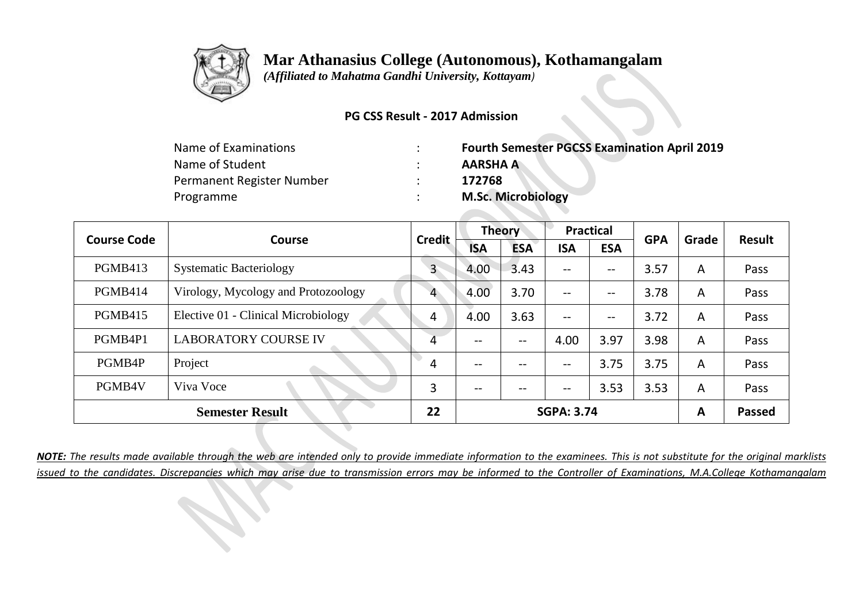

 *(Affiliated to Mahatma Gandhi University, Kottayam)*

#### **PG CSS Result - 2017 Admission**

| Name of Examinations      | <b>Fourth Semester PGCSS Examination April 2019</b> |
|---------------------------|-----------------------------------------------------|
| Name of Student           | <b>AARSHA A</b>                                     |
| Permanent Register Number | 172768                                              |
| Programme                 | <b>M.Sc. Microbiology</b>                           |

| <b>Course Code</b> | <b>Course</b>                       | <b>Credit</b> | <b>Theory</b>     |            | <b>Practical</b>         |            | <b>GPA</b> | Grade | <b>Result</b> |
|--------------------|-------------------------------------|---------------|-------------------|------------|--------------------------|------------|------------|-------|---------------|
|                    |                                     |               | <b>ISA</b>        | <b>ESA</b> | <b>ISA</b>               | <b>ESA</b> |            |       |               |
| <b>PGMB413</b>     | <b>Systematic Bacteriology</b>      | $\mathsf{3}$  | 4.00              | 3.43       | $\overline{\phantom{m}}$ | --         | 3.57       | A     | Pass          |
| PGMB414            | Virology, Mycology and Protozoology | 4             | 4.00              | 3.70       | $--$                     | --         | 3.78       | A     | Pass          |
| <b>PGMB415</b>     | Elective 01 - Clinical Microbiology | 4             | 4.00              | 3.63       | $\overline{\phantom{m}}$ | --         | 3.72       | A     | Pass          |
| PGMB4P1            | <b>LABORATORY COURSE IV</b>         | 4             | --                | $- -$      | 4.00                     | 3.97       | 3.98       | A     | Pass          |
| PGMB4P             | Project                             | 4             | $\qquad \qquad -$ | --         | $\overline{\phantom{m}}$ | 3.75       | 3.75       | A     | Pass          |
| PGMB4V             | Viva Voce                           | 3             | $- -$             | $- -$      | $\overline{\phantom{m}}$ | 3.53       | 3.53       | A     | Pass          |
|                    | <b>Semester Result</b>              | 22            |                   |            | <b>SGPA: 3.74</b>        |            |            | A     | <b>Passed</b> |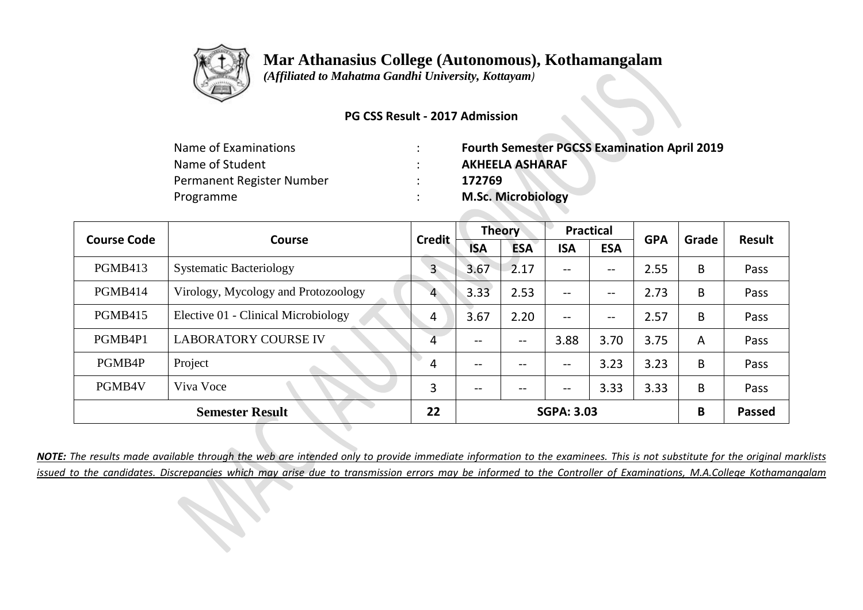

 *(Affiliated to Mahatma Gandhi University, Kottayam)*

#### **PG CSS Result - 2017 Admission**

| <b>Fourth Semester PGCSS Examination April 2019</b> |
|-----------------------------------------------------|
| <b>AKHEELA ASHARAF</b>                              |
| 172769                                              |
| <b>M.Sc. Microbiology</b>                           |
|                                                     |

| <b>Course Code</b> | <b>Course</b>                       | <b>Credit</b> | <b>Theory</b> |            | <b>Practical</b>                    |                   | <b>GPA</b> | Grade          | <b>Result</b> |
|--------------------|-------------------------------------|---------------|---------------|------------|-------------------------------------|-------------------|------------|----------------|---------------|
|                    |                                     |               | <b>ISA</b>    | <b>ESA</b> | <b>ISA</b>                          | <b>ESA</b>        |            |                |               |
| PGMB413            | <b>Systematic Bacteriology</b>      | $\mathbf{3}$  | 3.67          | 2.17       | $\qquad \qquad -$                   | --                | 2.55       | B              | Pass          |
| PGMB414            | Virology, Mycology and Protozoology | 4             | 3.33          | 2.53       | $\qquad \qquad -$                   | $\qquad \qquad -$ | 2.73       | B              | Pass          |
| <b>PGMB415</b>     | Elective 01 - Clinical Microbiology | 4             | 3.67          | 2.20       | $\qquad \qquad -$                   | $-\!$ $-$         | 2.57       | B              | Pass          |
| PGMB4P1            | <b>LABORATORY COURSE IV</b>         | 4             | $- -$         | --         | 3.88                                | 3.70              | 3.75       | $\overline{A}$ | Pass          |
| PGMB4P             | Project                             | 4             | $- -$         | --         | $-$                                 | 3.23              | 3.23       | B              | Pass          |
| PGMB4V             | Viva Voce                           | 3             | $- -$         | $- -$      | $\hspace{0.04in}$ $\hspace{0.04in}$ | 3.33              | 3.33       | B              | Pass          |
|                    | <b>Semester Result</b>              | 22            |               |            | <b>SGPA: 3.03</b>                   |                   |            | B              | <b>Passed</b> |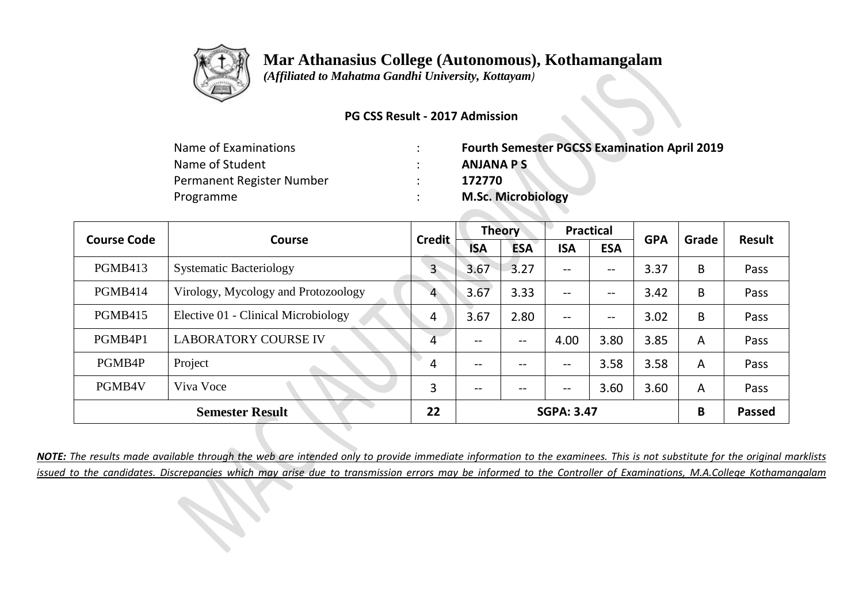

 *(Affiliated to Mahatma Gandhi University, Kottayam)*

#### **PG CSS Result - 2017 Admission**

| Name of Examinations      | <b>Fourth Semester PGCSS Examination April 2019</b> |
|---------------------------|-----------------------------------------------------|
| Name of Student           | <b>ANJANA PS</b>                                    |
| Permanent Register Number | 172770                                              |
| Programme                 | <b>M.Sc. Microbiology</b>                           |

| <b>Course Code</b> | <b>Course</b>                       | <b>Credit</b> | <b>Theory</b> |            | <b>Practical</b>  |                   | <b>GPA</b> | Grade          | <b>Result</b> |
|--------------------|-------------------------------------|---------------|---------------|------------|-------------------|-------------------|------------|----------------|---------------|
|                    |                                     |               | <b>ISA</b>    | <b>ESA</b> | <b>ISA</b>        | <b>ESA</b>        |            |                |               |
| PGMB413            | <b>Systematic Bacteriology</b>      | $\mathbf{3}$  | 3.67          | 3.27       | $\qquad \qquad -$ | --                | 3.37       | B              | Pass          |
| PGMB414            | Virology, Mycology and Protozoology | 4             | 3.67          | 3.33       | $\qquad \qquad -$ | $\qquad \qquad -$ | 3.42       | B              | Pass          |
| <b>PGMB415</b>     | Elective 01 - Clinical Microbiology | 4             | 3.67          | 2.80       | $\qquad \qquad -$ | $-\!$ $-$         | 3.02       | B              | Pass          |
| PGMB4P1            | <b>LABORATORY COURSE IV</b>         | 4             | $- -$         | --         | 4.00              | 3.80              | 3.85       | $\overline{A}$ | Pass          |
| PGMB4P             | Project                             | 4             | $- -$         | --         | $-$               | 3.58              | 3.58       | $\overline{A}$ | Pass          |
| PGMB4V             | Viva Voce                           | 3             | $- -$         | $- -$      | $\qquad \qquad -$ | 3.60              | 3.60       | A              | Pass          |
|                    | <b>Semester Result</b>              | 22            |               |            | <b>SGPA: 3.47</b> |                   |            | B              | <b>Passed</b> |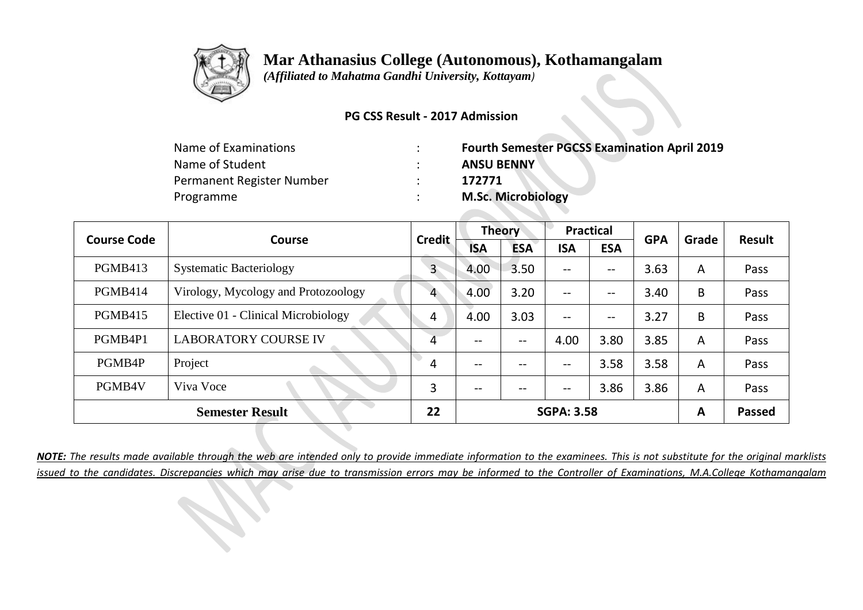

 *(Affiliated to Mahatma Gandhi University, Kottayam)*

#### **PG CSS Result - 2017 Admission**

| Name of Examinations      | <b>Fourth Semester PGCSS Examination April 2019</b> |
|---------------------------|-----------------------------------------------------|
| Name of Student           | <b>ANSU BENNY</b>                                   |
| Permanent Register Number | 172771                                              |
| Programme                 | <b>M.Sc. Microbiology</b>                           |

| <b>Course Code</b> | <b>Course</b>                       | <b>Credit</b> | <b>Theory</b> |            | <b>Practical</b>         |            | <b>GPA</b> | Grade | <b>Result</b> |
|--------------------|-------------------------------------|---------------|---------------|------------|--------------------------|------------|------------|-------|---------------|
|                    |                                     |               | <b>ISA</b>    | <b>ESA</b> | <b>ISA</b>               | <b>ESA</b> |            |       |               |
| <b>PGMB413</b>     | <b>Systematic Bacteriology</b>      | $\mathsf{3}$  | 4.00          | 3.50       | $\overline{\phantom{m}}$ | --         | 3.63       | A     | Pass          |
| PGMB414            | Virology, Mycology and Protozoology | 4             | 4.00          | 3.20       | $--$                     | --         | 3.40       | B     | Pass          |
| <b>PGMB415</b>     | Elective 01 - Clinical Microbiology | 4             | 4.00          | 3.03       | $\overline{\phantom{m}}$ | --         | 3.27       | B     | Pass          |
| PGMB4P1            | <b>LABORATORY COURSE IV</b>         | 4             | --            | $- -$      | 4.00                     | 3.80       | 3.85       | A     | Pass          |
| PGMB4P             | Project                             | 4             | $- -$         | --         | $\overline{\phantom{m}}$ | 3.58       | 3.58       | A     | Pass          |
| PGMB4V             | Viva Voce                           | 3             | $- -$         | $- -$      | $\overline{\phantom{m}}$ | 3.86       | 3.86       | A     | Pass          |
|                    | <b>Semester Result</b>              | 22            |               |            | <b>SGPA: 3.58</b>        |            |            | A     | <b>Passed</b> |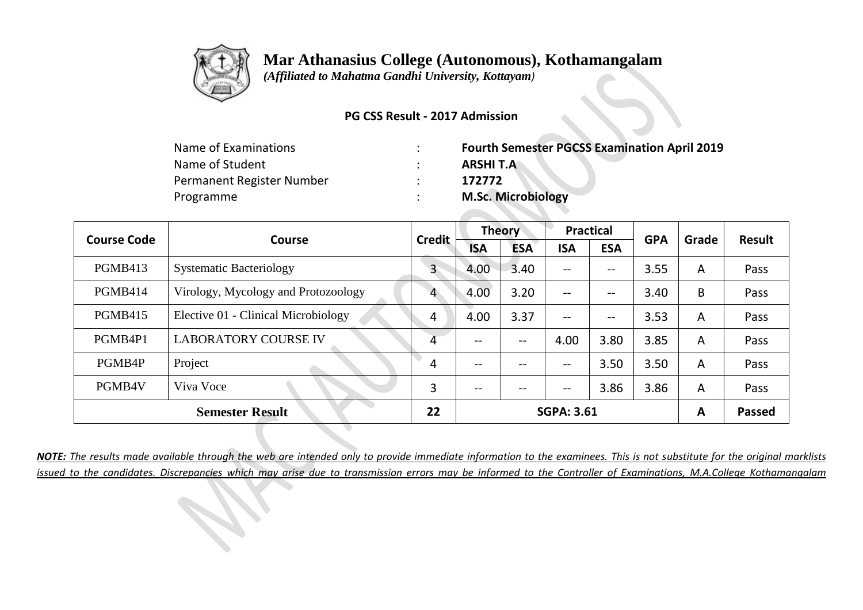

 *(Affiliated to Mahatma Gandhi University, Kottayam)*

#### **PG CSS Result - 2017 Admission**

| Name of Examinations      | <b>Fourth Semester PGCSS Examination April 2019</b> |
|---------------------------|-----------------------------------------------------|
| Name of Student           | <b>ARSHIT.A</b>                                     |
| Permanent Register Number | 172772                                              |
| Programme                 | <b>M.Sc. Microbiology</b>                           |

| <b>Course Code</b> | <b>Course</b>                       | <b>Credit</b> | <b>Theory</b>     |            | <b>Practical</b>                      |            | <b>GPA</b> | Grade | <b>Result</b> |
|--------------------|-------------------------------------|---------------|-------------------|------------|---------------------------------------|------------|------------|-------|---------------|
|                    |                                     |               | <b>ISA</b>        | <b>ESA</b> | <b>ISA</b>                            | <b>ESA</b> |            |       |               |
| <b>PGMB413</b>     | <b>Systematic Bacteriology</b>      | 3             | 4.00              | 3.40       | $\hspace{0.05cm}$ – $\hspace{0.05cm}$ | --         | 3.55       | A     | Pass          |
| PGMB414            | Virology, Mycology and Protozoology | 4             | 4.00              | 3.20       | $\hspace{0.05cm}$ – $\hspace{0.05cm}$ | --         | 3.40       | B     | Pass          |
| <b>PGMB415</b>     | Elective 01 - Clinical Microbiology | 4             | 4.00              | 3.37       | $--$                                  | --         | 3.53       | A     | Pass          |
| PGMB4P1            | <b>LABORATORY COURSE IV</b>         | 4             | --                | --         | 4.00                                  | 3.80       | 3.85       | A     | Pass          |
| PGMB4P             | Project                             | 4             | $\qquad \qquad -$ | --         | $- -$                                 | 3.50       | 3.50       | A     | Pass          |
| PGMB4V             | Viva Voce                           | 3             | $- -$             | --         | $\overline{\phantom{m}}$              | 3.86       | 3.86       | A     | Pass          |
|                    | <b>Semester Result</b>              | 22            |                   |            | <b>SGPA: 3.61</b>                     |            |            | A     | <b>Passed</b> |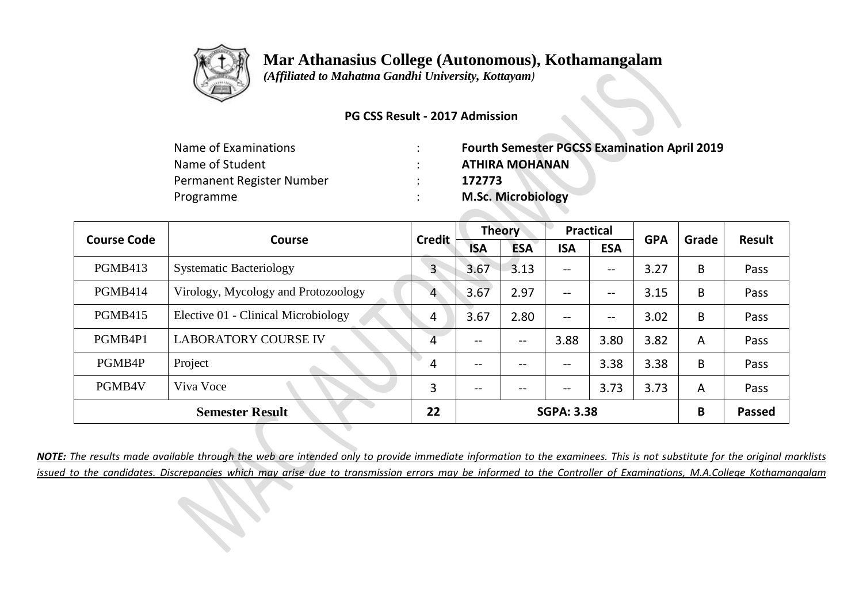

 *(Affiliated to Mahatma Gandhi University, Kottayam)*

#### **PG CSS Result - 2017 Admission**

| <b>Fourth Semester PGCSS Examination April 2019</b> |
|-----------------------------------------------------|
| <b>ATHIRA MOHANAN</b>                               |
| 172773                                              |
| <b>M.Sc. Microbiology</b>                           |
|                                                     |

| <b>Course Code</b> | <b>Course</b>                       | <b>Credit</b> | <b>Theory</b> |            | <b>Practical</b>                    |            | <b>GPA</b> | Grade | <b>Result</b> |
|--------------------|-------------------------------------|---------------|---------------|------------|-------------------------------------|------------|------------|-------|---------------|
|                    |                                     |               | <b>ISA</b>    | <b>ESA</b> | <b>ISA</b>                          | <b>ESA</b> |            |       |               |
| <b>PGMB413</b>     | <b>Systematic Bacteriology</b>      | 3             | 3.67          | 3.13       | $\qquad \qquad -$                   | --         | 3.27       | B     | Pass          |
| PGMB414            | Virology, Mycology and Protozoology | 4             | 3.67          | 2.97       | $-$                                 | --         | 3.15       | B     | Pass          |
| <b>PGMB415</b>     | Elective 01 - Clinical Microbiology | 4             | 3.67          | 2.80       | $\qquad \qquad -$                   | $-\!$ $-$  | 3.02       | B     | Pass          |
| PGMB4P1            | <b>LABORATORY COURSE IV</b>         | 4             | $- -$         | $- -$      | 3.88                                | 3.80       | 3.82       | A     | Pass          |
| PGMB4P             | Project                             | 4             | $- -$         | --         | $\hspace{0.04in}$ $\hspace{0.04in}$ | 3.38       | 3.38       | B     | Pass          |
| PGMB4V             | Viva Voce                           | 3             | $- -$         | $- -$      | $\hspace{0.04in}$ $\hspace{0.04in}$ | 3.73       | 3.73       | A     | Pass          |
|                    | <b>Semester Result</b>              | 22            |               |            | <b>SGPA: 3.38</b>                   |            |            | B     | <b>Passed</b> |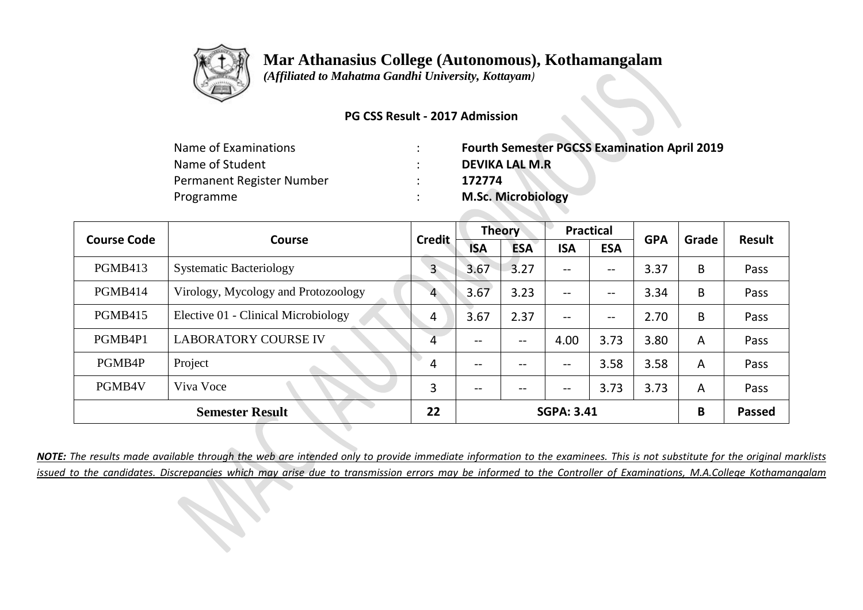

 *(Affiliated to Mahatma Gandhi University, Kottayam)*

#### **PG CSS Result - 2017 Admission**

| <b>Fourth Semester PGCSS Examination April 2019</b> |
|-----------------------------------------------------|
| <b>DEVIKA LAL M.R</b>                               |
| 172774                                              |
| <b>M.Sc. Microbiology</b>                           |
|                                                     |

| <b>Course Code</b><br><b>Course</b> |                                     | <b>Credit</b> |                   | <b>Theory</b> |                                     | <b>Practical</b>  | <b>GPA</b> | Grade          | <b>Result</b> |
|-------------------------------------|-------------------------------------|---------------|-------------------|---------------|-------------------------------------|-------------------|------------|----------------|---------------|
|                                     |                                     |               | <b>ISA</b>        | <b>ESA</b>    | <b>ISA</b>                          | <b>ESA</b>        |            |                |               |
| PGMB413                             | <b>Systematic Bacteriology</b>      | $\mathbf{3}$  | 3.67              | 3.27          | $\qquad \qquad -$                   | $\qquad \qquad -$ | 3.37       | B              | Pass          |
| PGMB414                             | Virology, Mycology and Protozoology | 4             | 3.67              | 3.23          | $\qquad \qquad -$                   | $-\!$ $-$         | 3.34       | B              | Pass          |
| <b>PGMB415</b>                      | Elective 01 - Clinical Microbiology | 4             | 3.67              | 2.37          | $- -$                               | $-\!$ $-$         | 2.70       | B              | Pass          |
| PGMB4P1                             | <b>LABORATORY COURSE IV</b>         | 4             | $\qquad \qquad -$ | --            | 4.00                                | 3.73              | 3.80       | A              | Pass          |
| PGMB4P                              | Project                             | 4             | $\qquad \qquad -$ | --            | $\qquad \qquad -$                   | 3.58              | 3.58       | $\overline{A}$ | Pass          |
| PGMB4V                              | Viva Voce                           | 3             | $- -$             | $- -$         | $\hspace{0.04in}$ $\hspace{0.04in}$ | 3.73              | 3.73       | A              | Pass          |
|                                     | <b>Semester Result</b>              | 22            |                   |               | <b>SGPA: 3.41</b>                   |                   |            | B              | <b>Passed</b> |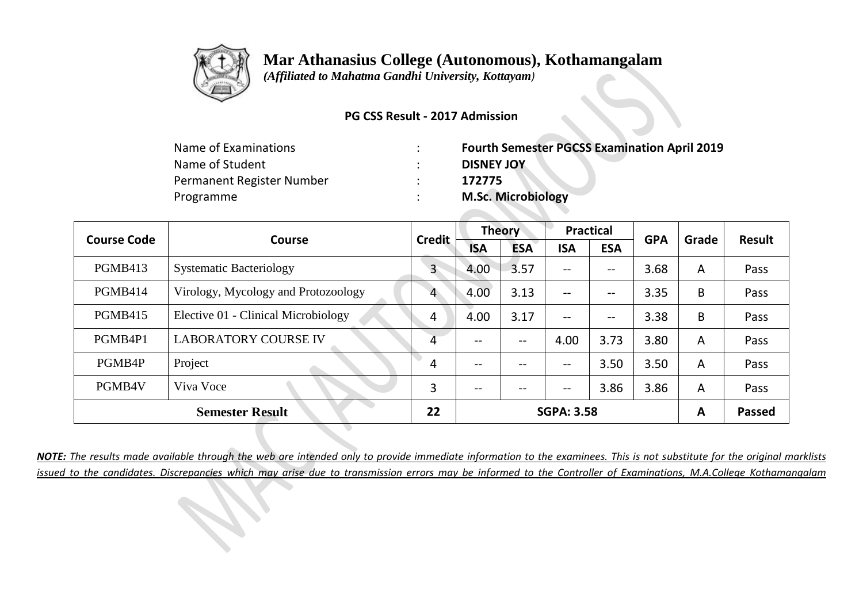

 *(Affiliated to Mahatma Gandhi University, Kottayam)*

#### **PG CSS Result - 2017 Admission**

| Name of Examinations      | <b>Fourth Semester PGCSS Examination April 2019</b> |
|---------------------------|-----------------------------------------------------|
| Name of Student           | <b>DISNEY JOY</b>                                   |
| Permanent Register Number | 172775                                              |
| Programme                 | <b>M.Sc. Microbiology</b>                           |

|                | <b>Course Code</b><br><b>Course</b> | <b>Credit</b> |                   | <b>Theory</b> | <b>Practical</b>                      |            | <b>GPA</b> | Grade | <b>Result</b> |
|----------------|-------------------------------------|---------------|-------------------|---------------|---------------------------------------|------------|------------|-------|---------------|
|                |                                     |               | <b>ISA</b>        | <b>ESA</b>    | <b>ISA</b>                            | <b>ESA</b> |            |       |               |
| PGMB413        | <b>Systematic Bacteriology</b>      | $\mathsf{3}$  | 4.00              | 3.57          | $--$                                  | --         | 3.68       | A     | Pass          |
| PGMB414        | Virology, Mycology and Protozoology | 4             | 4.00              | 3.13          | $--$                                  | --         | 3.35       | B     | Pass          |
| <b>PGMB415</b> | Elective 01 - Clinical Microbiology | 4             | 4.00              | 3.17          | $\overline{\phantom{m}}$              | --         | 3.38       | B     | Pass          |
| PGMB4P1        | <b>LABORATORY COURSE IV</b>         | 4             | --                | --            | 4.00                                  | 3.73       | 3.80       | A     | Pass          |
| PGMB4P         | Project                             | 4             | $\qquad \qquad -$ | --            | $\hspace{0.05cm}$ – $\hspace{0.05cm}$ | 3.50       | 3.50       | A     | Pass          |
| PGMB4V         | Viva Voce                           | 3             | --                | $- -$         | $\overline{\phantom{m}}$              | 3.86       | 3.86       | A     | Pass          |
|                | <b>Semester Result</b>              | 22            |                   |               | <b>SGPA: 3.58</b>                     |            |            | A     | <b>Passed</b> |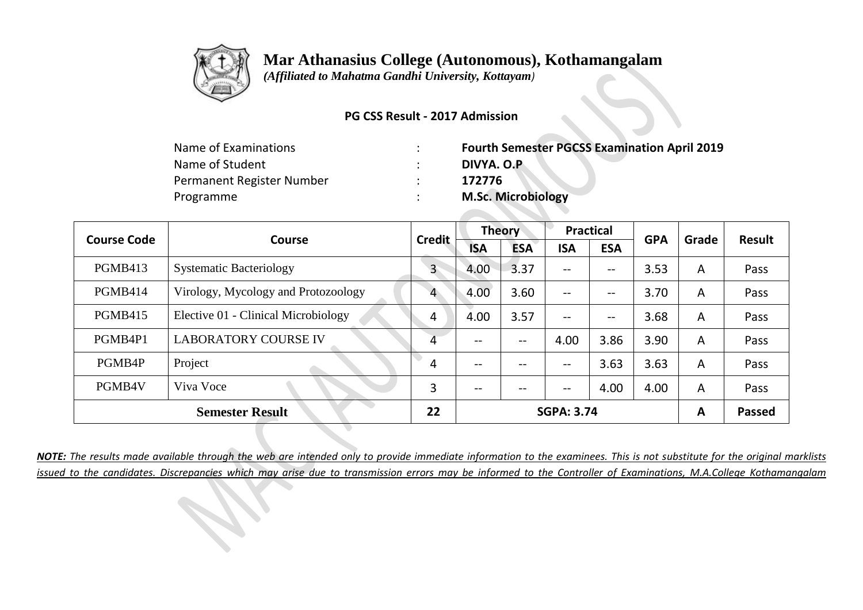

 *(Affiliated to Mahatma Gandhi University, Kottayam)*

#### **PG CSS Result - 2017 Admission**

| Name of Examinations      | <b>Fourth Semester PGCSS Examination April 2019</b> |
|---------------------------|-----------------------------------------------------|
| Name of Student           | DIVYA. O.P                                          |
| Permanent Register Number | 172776                                              |
| Programme                 | <b>M.Sc. Microbiology</b>                           |

| <b>Course Code</b> |                                     | <b>Credit</b>           | <b>Theory</b> |            | <b>Practical</b>                    |            | <b>GPA</b> | Grade          | <b>Result</b> |
|--------------------|-------------------------------------|-------------------------|---------------|------------|-------------------------------------|------------|------------|----------------|---------------|
|                    | <b>Course</b>                       |                         | <b>ISA</b>    | <b>ESA</b> | <b>ISA</b>                          | <b>ESA</b> |            |                |               |
| <b>PGMB413</b>     | <b>Systematic Bacteriology</b>      | $\mathsf{3}$            | 4.00          | 3.37       | $\hspace{0.04in}$ $\hspace{0.04in}$ | --         | 3.53       | A              | Pass          |
| PGMB414            | Virology, Mycology and Protozoology | 4                       | 4.00          | 3.60       | $-$                                 | --         | 3.70       | $\overline{A}$ | Pass          |
| <b>PGMB415</b>     | Elective 01 - Clinical Microbiology | 4                       | 4.00          | 3.57       | $\qquad \qquad -$                   | $-\!$ $-$  | 3.68       | A              | Pass          |
| PGMB4P1            | <b>LABORATORY COURSE IV</b>         | 4                       | $- -$         | $- -$      | 4.00                                | 3.86       | 3.90       | A              | Pass          |
| PGMB4P             | Project                             | 4                       | --            | --         | $\hspace{0.04in}$ $\hspace{0.04in}$ | 3.63       | 3.63       | A              | Pass          |
| PGMB4V             | Viva Voce                           | 3                       | $- -$         | --         | $\hspace{0.04in}$ $\hspace{0.04in}$ | 4.00       | 4.00       | A              | Pass          |
|                    | <b>Semester Result</b>              | 22<br><b>SGPA: 3.74</b> |               | A          | <b>Passed</b>                       |            |            |                |               |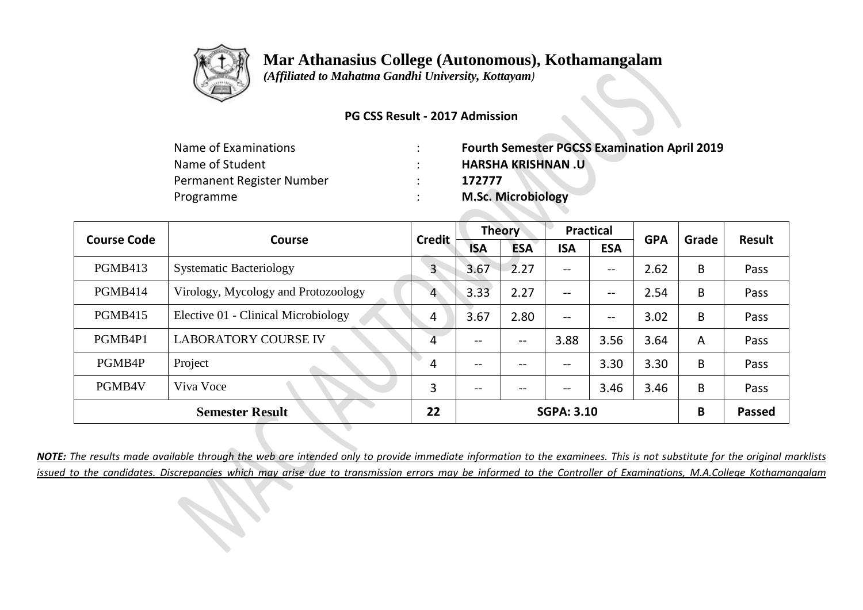

 *(Affiliated to Mahatma Gandhi University, Kottayam)*

#### **PG CSS Result - 2017 Admission**

| <b>Fourth Semester PGCSS Examination April 2019</b> |
|-----------------------------------------------------|
| <b>HARSHA KRISHNAN .U</b>                           |
| 172777                                              |
| <b>M.Sc. Microbiology</b>                           |
|                                                     |

| <b>Course Code</b> |                                     | <b>Credit</b> |            | <b>Theory</b> |                                     | <b>Practical</b>  |            | Grade          | <b>Result</b> |
|--------------------|-------------------------------------|---------------|------------|---------------|-------------------------------------|-------------------|------------|----------------|---------------|
|                    | <b>Course</b>                       |               | <b>ISA</b> | <b>ESA</b>    | <b>ISA</b>                          | <b>ESA</b>        | <b>GPA</b> |                |               |
| <b>PGMB413</b>     | <b>Systematic Bacteriology</b>      | 3             | 3.67       | 2.27          | $\qquad \qquad -$                   | --                | 2.62       | B              | Pass          |
| PGMB414            | Virology, Mycology and Protozoology | 4             | 3.33       | 2.27          | $-$                                 | $\qquad \qquad -$ | 2.54       | B              | Pass          |
| <b>PGMB415</b>     | Elective 01 - Clinical Microbiology | 4             | 3.67       | 2.80          | $\qquad \qquad -$                   | $-\!$ $-$         | 3.02       | B              | Pass          |
| PGMB4P1            | <b>LABORATORY COURSE IV</b>         | 4             | $- -$      | $- -$         | 3.88                                | 3.56              | 3.64       | $\overline{A}$ | Pass          |
| PGMB4P             | Project                             | 4             | --         | --            | $\hspace{0.04in}$ $\hspace{0.04in}$ | 3.30              | 3.30       | B              | Pass          |
| PGMB4V             | Viva Voce                           | 3             | $- -$      | $- -$         | $\overline{\phantom{m}}$            | 3.46              | 3.46       | B              | Pass          |
|                    | <b>Semester Result</b>              | 22            |            |               | <b>SGPA: 3.10</b>                   |                   |            | B              | <b>Passed</b> |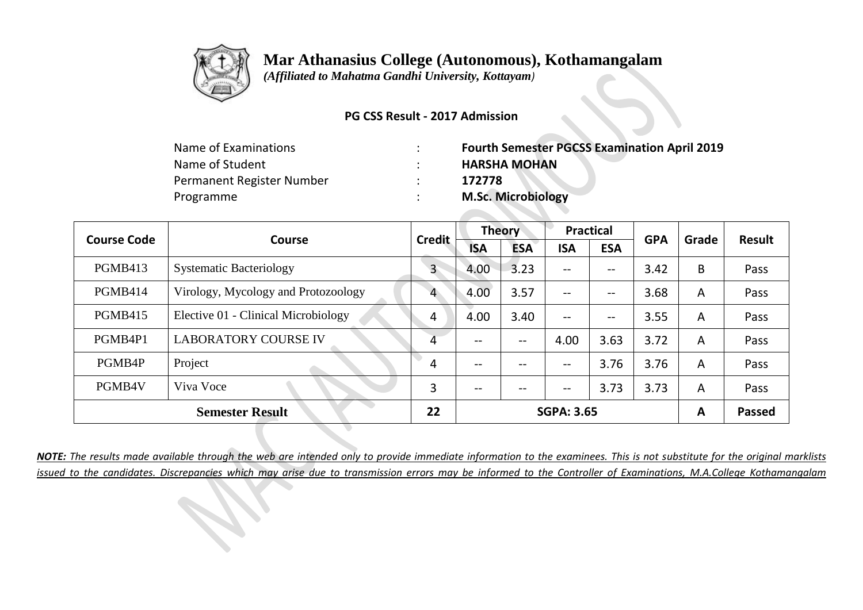

 *(Affiliated to Mahatma Gandhi University, Kottayam)*

#### **PG CSS Result - 2017 Admission**

| <b>Fourth Semester PGCSS Examination April 2019</b> |
|-----------------------------------------------------|
| <b>HARSHA MOHAN</b>                                 |
| 172778                                              |
| <b>M.Sc. Microbiology</b>                           |
|                                                     |

| <b>Course Code</b> |                                     | <b>Credit</b>           | <b>Theory</b>            |            | <b>Practical</b>                      |                          | <b>GPA</b> | Grade | <b>Result</b> |
|--------------------|-------------------------------------|-------------------------|--------------------------|------------|---------------------------------------|--------------------------|------------|-------|---------------|
|                    | <b>Course</b>                       |                         | <b>ISA</b>               | <b>ESA</b> | <b>ISA</b>                            | <b>ESA</b>               |            |       |               |
| <b>PGMB413</b>     | <b>Systematic Bacteriology</b>      | $\mathbf{3}$            | 4.00                     | 3.23       | --                                    | --                       | 3.42       | B     | Pass          |
| PGMB414            | Virology, Mycology and Protozoology | 4                       | 4.00                     | 3.57       | $\hspace{0.05cm}$ – $\hspace{0.05cm}$ | --                       | 3.68       | A     | Pass          |
| <b>PGMB415</b>     | Elective 01 - Clinical Microbiology | 4                       | 4.00                     | 3.40       | $- -$                                 | $\overline{\phantom{m}}$ | 3.55       | A     | Pass          |
| PGMB4P1            | <b>LABORATORY COURSE IV</b>         | 4                       | --                       | --         | 4.00                                  | 3.63                     | 3.72       | A     | Pass          |
| PGMB4P             | Project                             | 4                       | $\overline{\phantom{m}}$ | --         | $- -$                                 | 3.76                     | 3.76       | A     | Pass          |
| PGMB4V             | Viva Voce                           | 3                       | $\qquad \qquad -$        | --         | --                                    | 3.73                     | 3.73       | A     | Pass          |
|                    | <b>Semester Result</b>              | 22<br><b>SGPA: 3.65</b> |                          | A          | <b>Passed</b>                         |                          |            |       |               |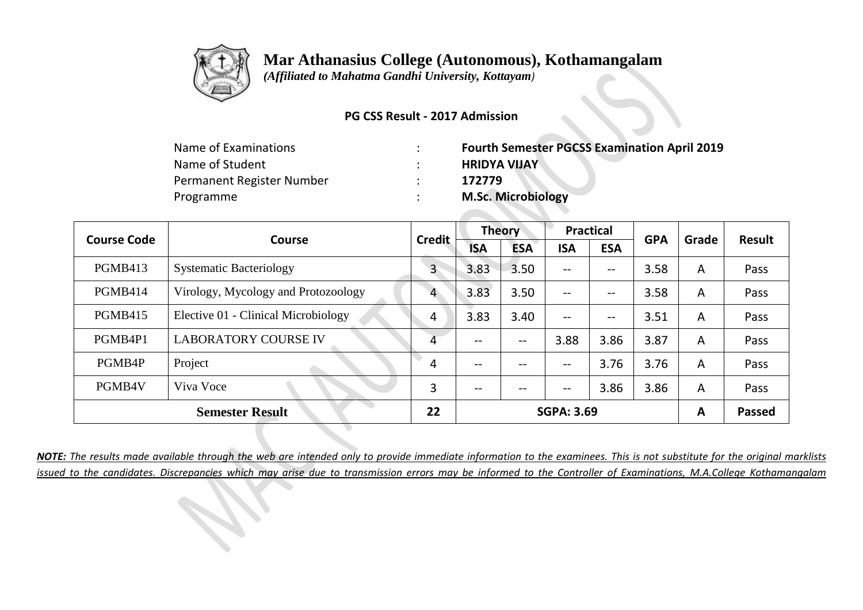

 *(Affiliated to Mahatma Gandhi University, Kottayam)*

#### **PG CSS Result - 2017 Admission**

| <b>Fourth Semester PGCSS Examination April 2019</b> |
|-----------------------------------------------------|
| <b>HRIDYA VIJAY</b>                                 |
| 172779                                              |
| <b>M.Sc. Microbiology</b>                           |
|                                                     |

| <b>Course Code</b> | <b>Course</b>                       | <b>Credit</b> |                   | <b>Theory</b> | <b>Practical</b>                    |                   | <b>GPA</b> | Grade          | <b>Result</b> |
|--------------------|-------------------------------------|---------------|-------------------|---------------|-------------------------------------|-------------------|------------|----------------|---------------|
|                    |                                     |               | <b>ISA</b>        | <b>ESA</b>    | <b>ISA</b>                          | <b>ESA</b>        |            |                |               |
| PGMB413            | <b>Systematic Bacteriology</b>      | $\mathsf{3}$  | 3.83              | 3.50          | $\qquad \qquad -$                   | $\qquad \qquad -$ | 3.58       | $\overline{A}$ | Pass          |
| PGMB414            | Virology, Mycology and Protozoology | 4             | 3.83              | 3.50          | $\qquad \qquad -$                   | $-\!$ $-$         | 3.58       | $\overline{A}$ | Pass          |
| <b>PGMB415</b>     | Elective 01 - Clinical Microbiology | 4             | 3.83              | 3.40          | $\qquad \qquad -$                   | $-\!$ $-$         | 3.51       | A              | Pass          |
| PGMB4P1            | <b>LABORATORY COURSE IV</b>         | 4             | $\qquad \qquad -$ | --            | 3.88                                | 3.86              | 3.87       | A              | Pass          |
| PGMB4P             | Project                             | 4             | $\qquad \qquad -$ | --            | $\qquad \qquad -$                   | 3.76              | 3.76       | $\overline{A}$ | Pass          |
| PGMB4V             | Viva Voce                           | 3             | $- -$             | $- -$         | $\hspace{0.04in}$ $\hspace{0.04in}$ | 3.86              | 3.86       | A              | Pass          |
|                    | <b>Semester Result</b>              | 22            |                   |               | <b>SGPA: 3.69</b>                   |                   |            | A              | <b>Passed</b> |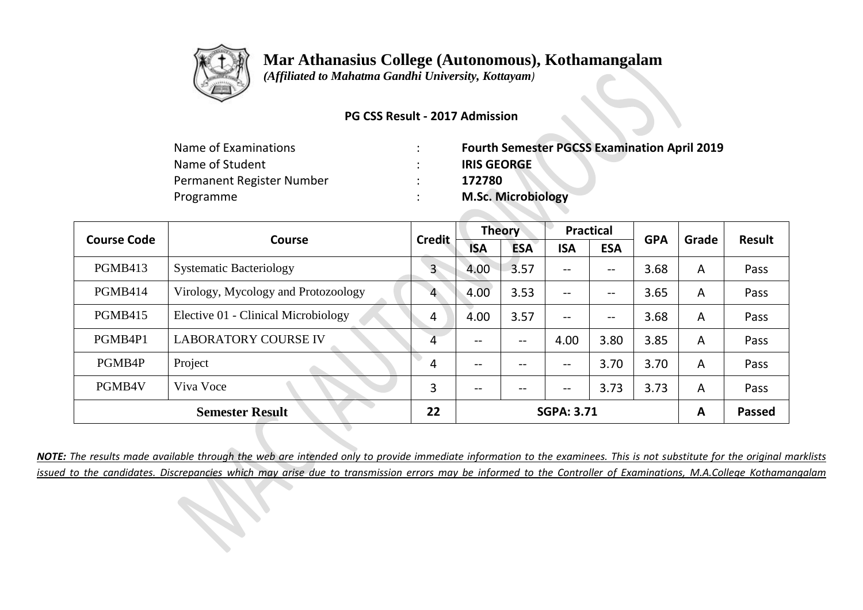

 *(Affiliated to Mahatma Gandhi University, Kottayam)*

#### **PG CSS Result - 2017 Admission**

| Name of Examinations      | <b>Fourth Semester PGCSS Examination April 2019</b> |
|---------------------------|-----------------------------------------------------|
| Name of Student           | <b>IRIS GEORGE</b>                                  |
| Permanent Register Number | 172780                                              |
| Programme                 | <b>M.Sc. Microbiology</b>                           |

|                | <b>Course Code</b><br><b>Course</b> |               | <b>Theory</b> |            | <b>Practical</b>                    |            | <b>GPA</b> | Grade          | <b>Result</b> |
|----------------|-------------------------------------|---------------|---------------|------------|-------------------------------------|------------|------------|----------------|---------------|
|                |                                     | <b>Credit</b> | <b>ISA</b>    | <b>ESA</b> | <b>ISA</b>                          | <b>ESA</b> |            |                |               |
| <b>PGMB413</b> | <b>Systematic Bacteriology</b>      | $\mathsf{3}$  | 4.00          | 3.57       | $\hspace{0.04in}$ $\hspace{0.04in}$ | --         | 3.68       | A              | Pass          |
| PGMB414        | Virology, Mycology and Protozoology | 4             | 4.00          | 3.53       | $-$                                 | --         | 3.65       | $\overline{A}$ | Pass          |
| <b>PGMB415</b> | Elective 01 - Clinical Microbiology | 4             | 4.00          | 3.57       | $\qquad \qquad -$                   | $-\!$ $-$  | 3.68       | A              | Pass          |
| PGMB4P1        | <b>LABORATORY COURSE IV</b>         | 4             | $- -$         | $- -$      | 4.00                                | 3.80       | 3.85       | A              | Pass          |
| PGMB4P         | Project                             | 4             | --            | --         | $\hspace{0.04in}$ $\hspace{0.04in}$ | 3.70       | 3.70       | A              | Pass          |
| PGMB4V         | Viva Voce                           | 3             | $- -$         | $- -$      | $\hspace{0.04in}$ $\hspace{0.04in}$ | 3.73       | 3.73       | A              | Pass          |
|                | <b>Semester Result</b>              | 22            |               |            | <b>SGPA: 3.71</b>                   |            |            | A              | <b>Passed</b> |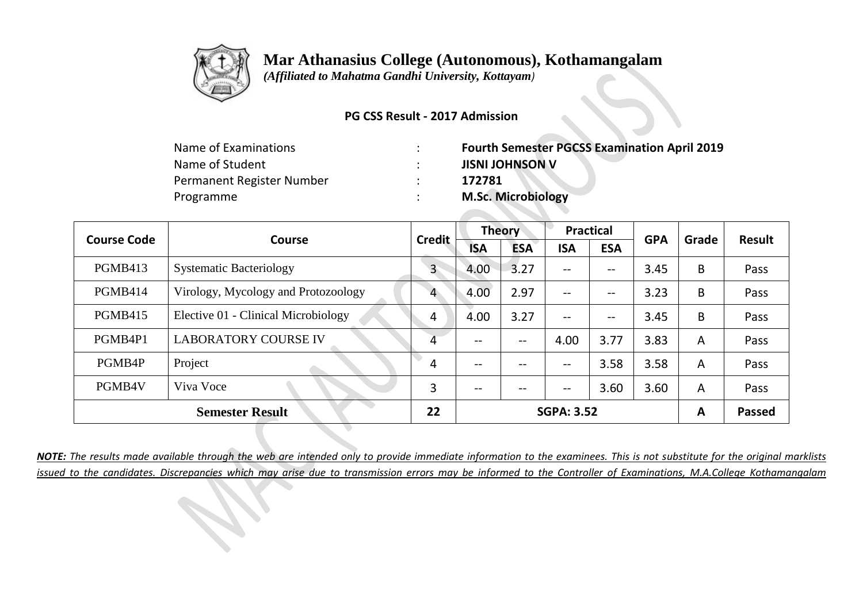

 *(Affiliated to Mahatma Gandhi University, Kottayam)*

#### **PG CSS Result - 2017 Admission**

| <b>Fourth Semester PGCSS Examination April 2019</b> |
|-----------------------------------------------------|
| <b>JISNI JOHNSON V</b>                              |
| 172781                                              |
| <b>M.Sc. Microbiology</b>                           |
|                                                     |

| <b>Course Code</b><br><b>Course</b> |                                     | <b>Credit</b> | <b>Theory</b> |            | <b>Practical</b>                    |            | <b>GPA</b> | Grade          | <b>Result</b> |
|-------------------------------------|-------------------------------------|---------------|---------------|------------|-------------------------------------|------------|------------|----------------|---------------|
|                                     |                                     |               | <b>ISA</b>    | <b>ESA</b> | <b>ISA</b>                          | <b>ESA</b> |            |                |               |
| <b>PGMB413</b>                      | <b>Systematic Bacteriology</b>      | $\mathsf{3}$  | 4.00          | 3.27       | $\qquad \qquad -$                   | --         | 3.45       | B              | Pass          |
| PGMB414                             | Virology, Mycology and Protozoology | 4             | 4.00          | 2.97       | $-$                                 | --         | 3.23       | B              | Pass          |
| <b>PGMB415</b>                      | Elective 01 - Clinical Microbiology | 4             | 4.00          | 3.27       | $\qquad \qquad -$                   | $-\!$ $-$  | 3.45       | B              | Pass          |
| PGMB4P1                             | <b>LABORATORY COURSE IV</b>         | 4             | $- -$         | $- -$      | 4.00                                | 3.77       | 3.83       | $\overline{A}$ | Pass          |
| PGMB4P                              | Project                             | 4             | --            | --         | $\hspace{0.04in}$ $\hspace{0.04in}$ | 3.58       | 3.58       | A              | Pass          |
| PGMB4V                              | Viva Voce                           | 3             | $- -$         | $- -$      | $\overline{\phantom{m}}$            | 3.60       | 3.60       | A              | Pass          |
|                                     | <b>Semester Result</b>              | 22            |               |            | <b>SGPA: 3.52</b>                   |            |            | A              | <b>Passed</b> |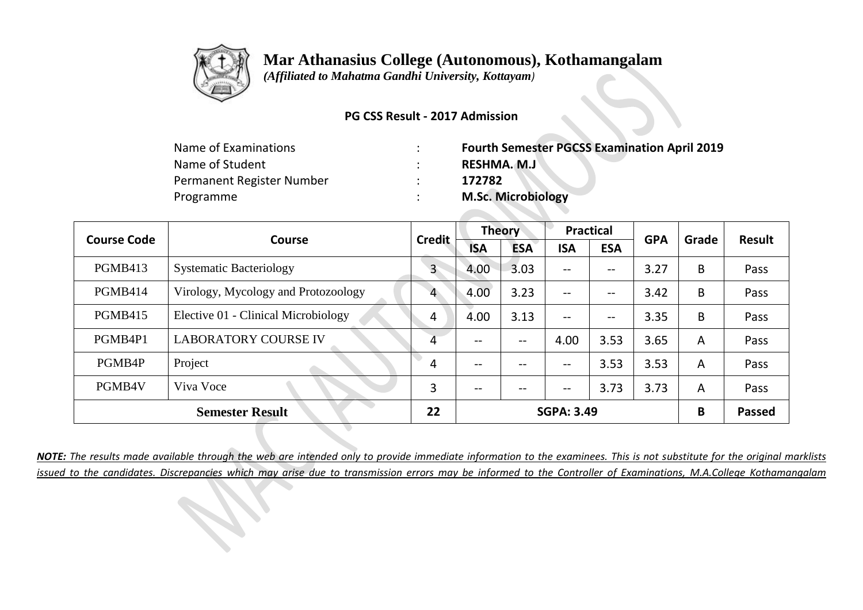

 *(Affiliated to Mahatma Gandhi University, Kottayam)*

#### **PG CSS Result - 2017 Admission**

| <b>Fourth Semester PGCSS Examination April 2019</b> |
|-----------------------------------------------------|
| RESHMA. M.J                                         |
| 172782                                              |
| <b>M.Sc. Microbiology</b>                           |
|                                                     |

|                | <b>Course Code</b><br><b>Course</b> | <b>Credit</b> |                   | <b>Theory</b> | <b>Practical</b>         |            | <b>GPA</b> | Grade | <b>Result</b> |
|----------------|-------------------------------------|---------------|-------------------|---------------|--------------------------|------------|------------|-------|---------------|
|                |                                     |               | <b>ISA</b>        | <b>ESA</b>    | <b>ISA</b>               | <b>ESA</b> |            |       |               |
| <b>PGMB413</b> | <b>Systematic Bacteriology</b>      | $\mathsf{3}$  | 4.00              | 3.03          | $\overline{\phantom{m}}$ | --         | 3.27       | B     | Pass          |
| PGMB414        | Virology, Mycology and Protozoology | 4             | 4.00              | 3.23          | $--$                     | --         | 3.42       | B     | Pass          |
| <b>PGMB415</b> | Elective 01 - Clinical Microbiology | 4             | 4.00              | 3.13          | $\overline{\phantom{m}}$ | --         | 3.35       | B     | Pass          |
| PGMB4P1        | <b>LABORATORY COURSE IV</b>         | 4             | --                | $- -$         | 4.00                     | 3.53       | 3.65       | A     | Pass          |
| PGMB4P         | Project                             | 4             | $\qquad \qquad -$ | --            | $- -$                    | 3.53       | 3.53       | A     | Pass          |
| PGMB4V         | Viva Voce                           | 3             | --                | $- -$         | $\overline{\phantom{m}}$ | 3.73       | 3.73       | A     | Pass          |
|                | <b>Semester Result</b>              | 22            |                   |               | <b>SGPA: 3.49</b>        |            |            | B     | <b>Passed</b> |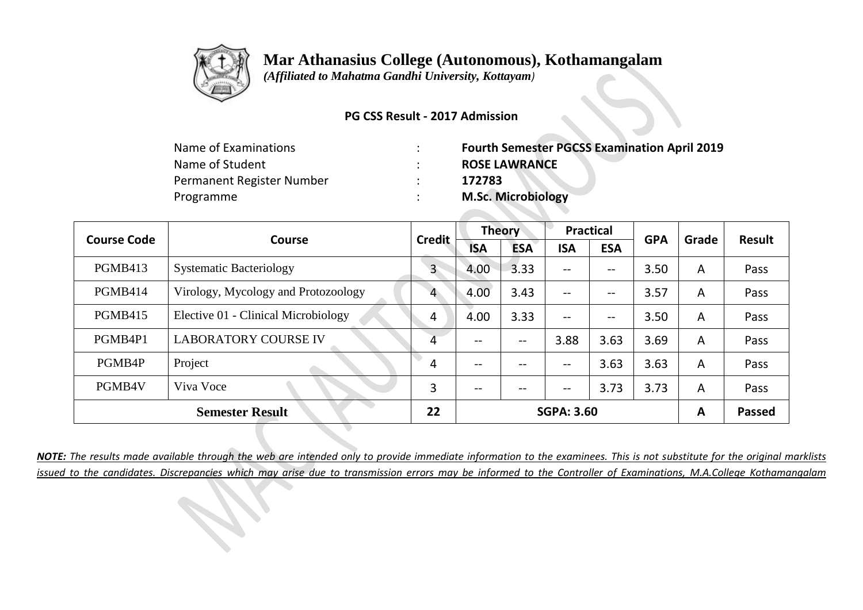

 *(Affiliated to Mahatma Gandhi University, Kottayam)*

#### **PG CSS Result - 2017 Admission**

| Name of Examinations      | <b>Fourth Semester PGCSS Examination April 2019</b> |
|---------------------------|-----------------------------------------------------|
| Name of Student           | <b>ROSE LAWRANCE</b>                                |
| Permanent Register Number | 172783                                              |
| Programme                 | <b>M.Sc. Microbiology</b>                           |

|                | <b>Course Code</b><br><b>Course</b> |               | <b>Theory</b> |            | <b>Practical</b>                    |                   | <b>GPA</b> | Grade | <b>Result</b> |
|----------------|-------------------------------------|---------------|---------------|------------|-------------------------------------|-------------------|------------|-------|---------------|
|                |                                     | <b>Credit</b> | <b>ISA</b>    | <b>ESA</b> | <b>ISA</b>                          | <b>ESA</b>        |            |       |               |
| <b>PGMB413</b> | <b>Systematic Bacteriology</b>      | $\mathsf{3}$  | 4.00          | 3.33       | $\hspace{0.04in}$ $\hspace{0.04in}$ | --                | 3.50       | A     | Pass          |
| PGMB414        | Virology, Mycology and Protozoology | 4             | 4.00          | 3.43       | $-$                                 | $\qquad \qquad -$ | 3.57       | A     | Pass          |
| <b>PGMB415</b> | Elective 01 - Clinical Microbiology | 4             | 4.00          | 3.33       | $\qquad \qquad -$                   | $-\!$ $-$         | 3.50       | A     | Pass          |
| PGMB4P1        | <b>LABORATORY COURSE IV</b>         | 4             | $- -$         | $- -$      | 3.88                                | 3.63              | 3.69       | A     | Pass          |
| PGMB4P         | Project                             | 4             | --            | --         | $\hspace{0.04in}$ $\hspace{0.04in}$ | 3.63              | 3.63       | A     | Pass          |
| PGMB4V         | Viva Voce                           | 3             | $- -$         | $- -$      | $\hspace{0.04in}$ $\hspace{0.04in}$ | 3.73              | 3.73       | A     | Pass          |
|                | <b>Semester Result</b>              | 22            |               |            | <b>SGPA: 3.60</b>                   |                   |            | A     | <b>Passed</b> |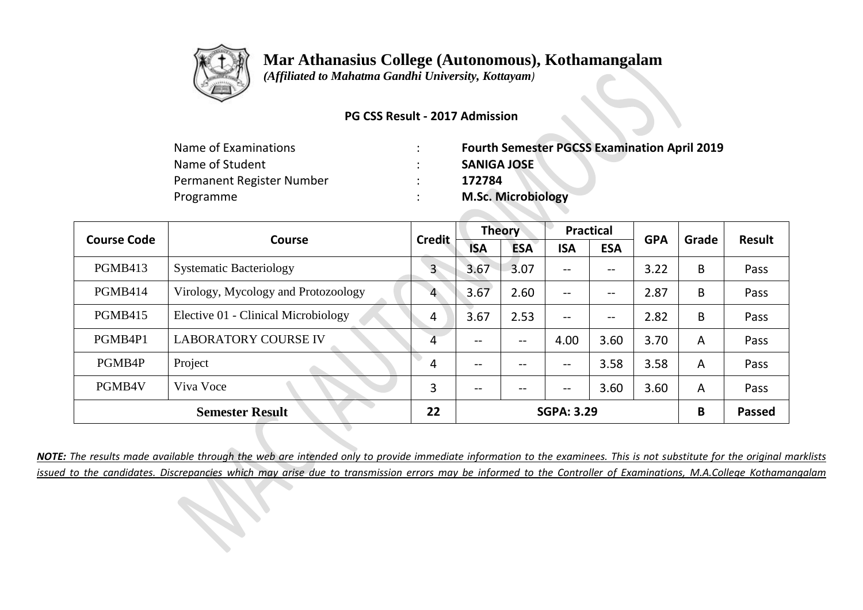

 *(Affiliated to Mahatma Gandhi University, Kottayam)*

#### **PG CSS Result - 2017 Admission**

| Name of Examinations      | <b>Fourth Semester PGCSS Examination April 2019</b> |
|---------------------------|-----------------------------------------------------|
| Name of Student           | <b>SANIGA JOSE</b>                                  |
| Permanent Register Number | 172784                                              |
| Programme                 | <b>M.Sc. Microbiology</b>                           |

| <b>Course Code</b><br><b>Course</b> | <b>Credit</b>                       |              | <b>Theory</b> | <b>Practical</b> |                                       | <b>GPA</b> | Grade | <b>Result</b>  |               |
|-------------------------------------|-------------------------------------|--------------|---------------|------------------|---------------------------------------|------------|-------|----------------|---------------|
|                                     |                                     |              | <b>ISA</b>    | <b>ESA</b>       | <b>ISA</b>                            | <b>ESA</b> |       |                |               |
| PGMB413                             | <b>Systematic Bacteriology</b>      | $\mathsf{3}$ | 3.67          | 3.07             | $\hspace{0.05cm}$ – $\hspace{0.05cm}$ | --         | 3.22  | B              | Pass          |
| PGMB414                             | Virology, Mycology and Protozoology | 4            | 3.67          | 2.60             | $--$                                  | --         | 2.87  | B              | Pass          |
| <b>PGMB415</b>                      | Elective 01 - Clinical Microbiology | 4            | 3.67          | 2.53             | $\hspace{0.05cm}$ – $\hspace{0.05cm}$ | --         | 2.82  | B              | Pass          |
| PGMB4P1                             | <b>LABORATORY COURSE IV</b>         | 4            | --            | --               | 4.00                                  | 3.60       | 3.70  | A              | Pass          |
| PGMB4P                              | Project                             | 4            | --            | --               | $\qquad \qquad -$                     | 3.58       | 3.58  | $\overline{A}$ | Pass          |
| PGMB4V                              | Viva Voce                           | 3            | --            | $- -$            | $\overline{\phantom{m}}$              | 3.60       | 3.60  | A              | Pass          |
|                                     | <b>Semester Result</b>              | 22           |               |                  | <b>SGPA: 3.29</b>                     |            |       | B              | <b>Passed</b> |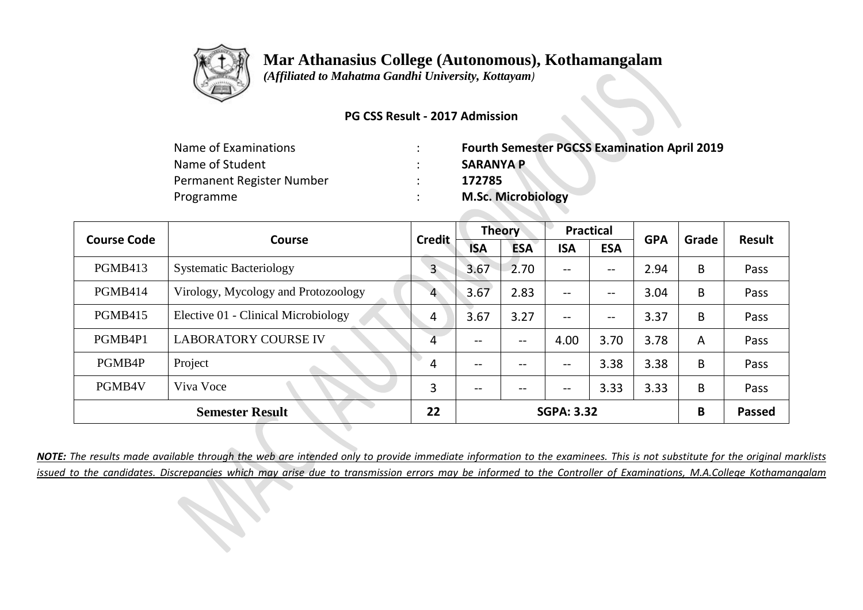

 *(Affiliated to Mahatma Gandhi University, Kottayam)*

#### **PG CSS Result - 2017 Admission**

| Name of Examinations      | <b>Fourth Semester PGCSS Examination April 2019</b> |
|---------------------------|-----------------------------------------------------|
| Name of Student           | <b>SARANYA P</b>                                    |
| Permanent Register Number | 172785                                              |
| Programme                 | <b>M.Sc. Microbiology</b>                           |

|                | <b>Course Code</b><br><b>Course</b> | <b>Credit</b> |                   | <b>Theory</b> | <b>Practical</b>         |            | <b>GPA</b> | Grade | <b>Result</b> |
|----------------|-------------------------------------|---------------|-------------------|---------------|--------------------------|------------|------------|-------|---------------|
|                |                                     |               | <b>ISA</b>        | <b>ESA</b>    | <b>ISA</b>               | <b>ESA</b> |            |       |               |
| <b>PGMB413</b> | <b>Systematic Bacteriology</b>      | $\mathsf{3}$  | 3.67              | 2.70          | $\overline{\phantom{m}}$ | --         | 2.94       | B     | Pass          |
| PGMB414        | Virology, Mycology and Protozoology | 4             | 3.67              | 2.83          | $--$                     | --         | 3.04       | B     | Pass          |
| <b>PGMB415</b> | Elective 01 - Clinical Microbiology | 4             | 3.67              | 3.27          | $\overline{\phantom{m}}$ | --         | 3.37       | B     | Pass          |
| PGMB4P1        | <b>LABORATORY COURSE IV</b>         | 4             | --                | $- -$         | 4.00                     | 3.70       | 3.78       | A     | Pass          |
| PGMB4P         | Project                             | 4             | $\qquad \qquad -$ | --            | $\overline{\phantom{m}}$ | 3.38       | 3.38       | B     | Pass          |
| PGMB4V         | Viva Voce                           | 3             | --                | $- -$         | $\overline{\phantom{m}}$ | 3.33       | 3.33       | B     | Pass          |
|                | <b>Semester Result</b>              | 22            |                   |               | <b>SGPA: 3.32</b>        |            |            | B     | <b>Passed</b> |